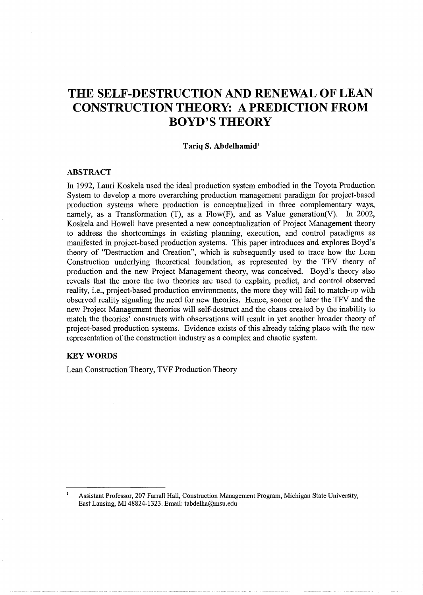# **THE SELF-DESTRUCTION AND RENEWAL OF LEAN CONSTRUCTION THEORY: A PREDICTION FROM BOYD'S THEORY**

#### **Tariq S. Abdelhamid<sup>1</sup>**

# **ABSTRACT**

In 1992, Lauri Koskela used the ideal production system embodied in the Toyota Production System to develop a more overarching production management paradigm for project-based production systems where production is conceptualized in three complementary ways, namely, as a Transformation (T), as a  $Flow(F)$ , and as Value generation(V). In 2002, Koskela and Howell have presented a new conceptualization of Project Management theory to address the shortcomings in existing planning, execution, and control paradigms as manifested in project-based production systems. This paper introduces and explores Boyd's theory of "Destruction and Creation", which is subsequently used to trace how the Lean Construction underlying theoretical foundation, as represented by the TFV theory of production and the new Project Management theory, was conceived. Boyd's theory also reveals that the more the two theories are used to explain, predict, and control observed reality, i.e., project-based production environments, the more they will fail to match-up with observed reality signaling the need for new theories. Hence, sooner or later the TFV and the new Project Management theories will self-destruct and the chaos created by the inability to match the theories' constructs with observations will result in yet another broader theory of project-based production systems. Evidence exists of this already taking place with the new representation of the construction industry as a complex and chaotic system.

### **KEYWORDS**

 $\mathbf{I}$ 

Lean Construction Theory, TVF Production Theory

Assistant Professor, 207 Farrall Hall, Construction Management Program, Michigan State University, East Lansing, MI 48824-1323. Email: tabdelha@msu.edu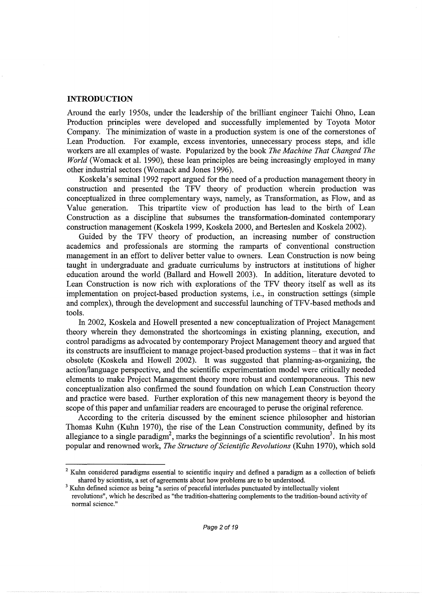# **INTRODUCTION**

Around the early 1950s, under the leadership of the brilliant engineer Taichi Ohno, Lean Production principles were developed and successfully implemented by Toyota Motor Company. The minimization of waste in a production system is one of the cornerstones of Lean Production. For example, excess inventories, unnecessary process steps, and idle For example, excess inventories, unnecessary process steps, and idle workers are all examples of waste. Popularized by the book *The Machine That Changed The World* (Womack et al. 1990), these lean principles are being increasingly employed in many other industrial sectors (Womack and Jones 1996).

Koskela's seminal 1992 report argued for the need of a production management theory in construction and presented the TFV theory of production wherein production was conceptualized in three complementary ways, namely, as Transformation, as Flow, and as Value generation. This tripartite view of production has lead to the birth of Lean Construction as a discipline that subsumes the transformation-dominated contemporary construction management (Koskela 1999, Koskela 2000, and Berteslen and Koskela 2002).

Guided by the TFV theory of production, an increasing number of construction academics and professionals are storming the ramparts of conventional construction management in an effort to deliver better value to owners. Lean Construction is now being taught in undergraduate and graduate curriculums by instructors at institutions of higher education around the world (Ballard and Howell 2003). In addition, literature devoted to Lean Construction is now rich with explorations of the TFV theory itself as well as its implementation on project-based production systems, i.e., in construction settings (simple and complex), through the development and successful launching of TFV-based methods and tools.

In 2002, Koskela and Howell presented a new conceptualization of Project Management theory wherein they demonstrated the shortcomings in existing planning, execution, and control paradigms as advocated by contemporary Project Management theory and argued that its constructs are insufficient to manage project-based production systems- that it was in fact obsolete (Koskela and Howell 2002). It was suggested that planning-as-organizing, the action/language perspective, and the scientific experimentation model were critically needed elements to make Project Management theory more robust and contemporaneous. This new conceptualization also confirmed the sound foundation on which Lean Construction theory and practice were based. Further exploration of this new management theory is beyond the scope of this paper and unfamiliar readers are encouraged to peruse the original reference.

According to the criteria discussed by the eminent science philosopher and historian Thomas Kuhn (Kuhn 1970), the rise of the Lean Construction community, defined by its allegiance to a single paradigm<sup>2</sup>, marks the beginnings of a scientific revolution<sup>3</sup>. In his most popular and renowned work, *The Structure of Scientific Revolutions* (Kuhn 1970), which sold

<sup>&</sup>lt;sup>2</sup> Kuhn considered paradigms essential to scientific inquiry and defined a paradigm as a collection of beliefs shared by scientists, a set of agreements about how problems are to be understood.<br><sup>3</sup> Kuhn defined science as being "a series of peaceful interludes punctuated by intellectually violent

revolutions", which he described as "the tradition-shattering complements to the tradition-bound activity of normal science."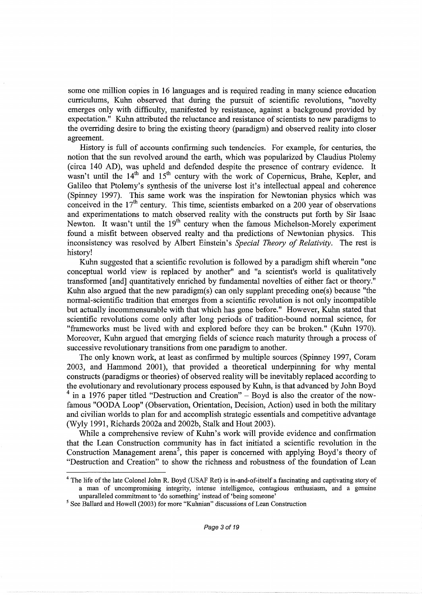some one million copies in 16 languages and is required reading in many science education curriculums, Kuhn observed that during the pursuit of scientific revolutions, "novelty emerges only with difficulty, manifested by resistance, against a background provided by expectation." Kuhn attributed the reluctance and resistance of scientists to new paradigms to the overriding desire to bring the existing theory (paradigm) and observed reality into closer agreement.

History is full of accounts confirming such tendencies. For example, for centuries, the notion that the sun revolved around the earth, which was popularized by Claudius Ptolemy (circa 140 AD), was upheld and defended despite the presence of contrary evidence. It wasn't until the 14<sup>th</sup> and 15<sup>th</sup> century with the work of Copernicus, Brahe, Kepler, and Galileo that Ptolemy's synthesis of the universe lost it's intellectual appeal and coherence (Spinney 1997). This same work was the inspiration for Newtonian physics which was conceived in the 17<sup>th</sup> century. This time, scientists embarked on a 200 year of observations and experimentations to match observed reality with the constructs put forth by Sir Isaac Newton. It wasn't until the 19<sup>th</sup> century when the famous Michelson-Morely experiment found a misfit between observed realty and tha predictions of Newtonian physics. This inconsistency was resolved by Albert Einstein's *Special Theory of Relativity.* The rest is history!

Kuhn suggested that a scientific revolution is followed by a paradigm shift wherein "one conceptual world view is replaced by another" and "a scientist's world is qualitatively transformed [and] quantitatively enriched by fundamental novelties of either fact or theory." Kuhn also argued that the new paradigm(s) can only supplant preceding one(s) because "the normal-scientific tradition that emerges from a scientific revolution is not only incompatible but actually incommensurable with that which has gone before." However, Kuhn stated that scientific revolutions come only after long periods of tradition-bound normal science, for "frameworks must be lived with and explored before they can be broken." (Kuhn 1970). Moreover, Kuhn argued that emerging fields of science reach maturity through a process of successive revolutionary transitions from one paradigm to another.

The only known work, at least as confirmed by multiple sources (Spinney 1997, Coram 2003, and Hammond 2001), that provided a theoretical underpinning for why mental constructs (paradigms or theories) of observed reality will be inevitably replaced according to the evolutionary and revolutionary process espoused by Kuhn, is that advanced by John Boyd  $4$  in a 1976 paper titled "Destruction and Creation" – Boyd is also the creator of the nowfamous "OODA Loop" (Observation, Orientation, Decision, Action) used in both the military and civilian worlds to plan for and accomplish strategic essentials and competitive advantage (Wyly 1991, Richards 2002a and 2002b, Stalk and Hout 2003).

While a comprehensive review of Kuhn's work will provide evidence and confirmation that the Lean Construction community has in fact initiated a scientific revolution in the Construction Management arena<sup>5</sup>, this paper is concerned with applying Boyd's theory of "Destruction and Creation" to show the richness and robustness of the foundation of Lean

<sup>&</sup>lt;sup>4</sup> The life of the late Colonel John R. Boyd (USAF Ret) is in-and-of-itself a fascinating and captivating story of a man of uncompromising integrity, intense intelligence, contagious enthusiasm, and a genuine

unparalleled commitment to 'do something' instead of 'being someone' *<sup>5</sup>*See Ballard and Howell (2003) for more "Kuhnian" discussions of Lean Construction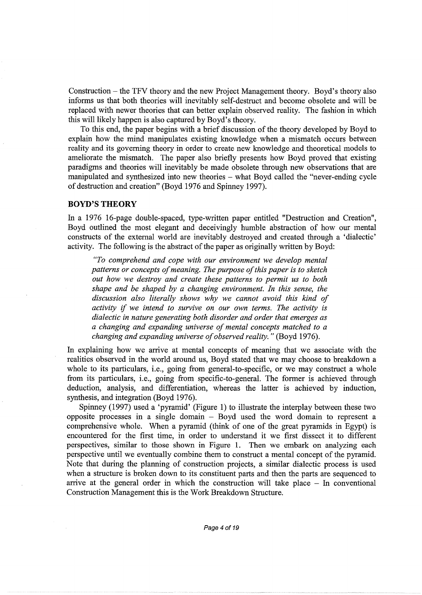Construction- the TFV theory and the new Project Management theory. Boyd's theory also informs us that both theories will inevitably self-destruct and become obsolete and will be replaced with newer theories that can better explain observed reality. The fashion in which this will likely happen is also captured by Boyd's theory.

To this end, the paper begins with a brief discussion of the theory developed by Boyd to explain how the mind manipulates existing knowledge when a mismatch occurs between reality and its governing theory in order to create new knowledge and theoretical models to ameliorate the mismatch. The paper also briefly presents how Boyd proved that existing paradigms and theories will inevitably be made obsolete through new observations that are manipulated and synthesized into new theories - what Boyd called the "never-ending cycle of destruction and creation" (Boyd 1976 and Spinney 1997).

# **BOYD'S THEORY**

In a 1976 16-page double-spaced, type-written paper entitled "Destruction and Creation", Boyd outlined the most elegant and deceivingly humble abstraction of how our mental constructs of the external world are inevitably destroyed and created through a 'dialectic' activity. The following is the abstract of the paper as originally written by Boyd:

*"To comprehend and cope with our environment we develop mental patterns or concepts of meaning. The purpose of this paper is to sketch out how we destroy and create these patterns to permit us to both shape and be shaped by a changing environment. In this sense, the discussion also literally shows why we cannot avoid this kind of activity* if *we intend to survive on our own terms. The activity is dialectic in nature generating both disorder and order that emerges as a changing and expanding universe of mental concepts matched to a changing and expanding universe of observed reality."* (Boyd 1976).

In explaining how we arrive at mental concepts of meaning that we associate with the realities observed in the world around us, Boyd stated that we may choose to breakdown a whole to its particulars, i.e., going from general-to-specific, or we may construct a whole from its particulars, i.e., going from specific-to-general. The former is achieved through deduction, analysis, and differentiation, whereas the latter is achieved by induction, synthesis, and integration (Boyd 1976).

Spinney (1997) used a 'pyramid' (Figure **1)** to illustrate the interplay between these two opposite processes **in** a single domain - Boyd used the word domain to represent a comprehensive whole. When a pyramid (think of one of the great pyramids in Egypt) is encountered for the first time, in order to understand it we first dissect it to different perspectives, similar to those shown in Figure **1.** Then we embark on analyzing each perspective until we eventually combine them to construct a mental concept of the pyramid. Note that during the planning of construction projects, a similar dialectic process is used when a structure is broken down to its constituent parts and then the parts are sequenced to arrive at the general order in which the construction will take place  $-$  In conventional Construction Management this is the Work Breakdown Structure.

Page 4 of 19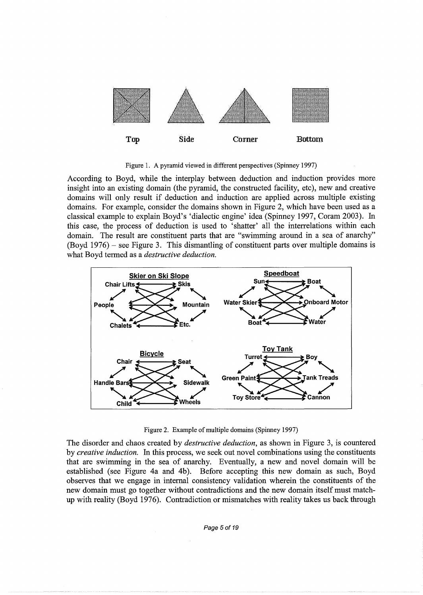

Figure 1. A pyramid viewed in different perspectives (Spinney 1997)

According to Boyd, while the interplay between deduction and induction provides more insight into an existing domain (the pyramid, the constructed facility, etc), new and creative domains will only result if deduction and induction are applied across multiple existing domains. For example, consider the domains shown in Figure 2, which have been used as a classical example to explain Boyd's 'dialectic engine' idea (Spinney 1997, Coram 2003). In this case, the process of deduction is used to 'shatter' all the interrelations within each domain. The result are constituent parts that are "swimming around in a sea of anarchy"  $(Boyd 1976)$  – see Figure 3. This dismantling of constituent parts over multiple domains is what Boyd termed as a *destructive deduction.* 



Figure 2. Example of multiple domains (Spinney 1997)

The disorder and chaos created by *destructive deduction,* as shown in Figure 3, is countered by *creative induction.* In this process, we seek out novel combinations using the constituents that are swimming in the sea of anarchy. Eventually, a new and novel domain will be established (see Figure 4a and 4b). Before accepting this new domain as such, Boyd observes that we engage in internal consistency validation wherein the constituents of the new domain must go together without contradictions and the new domain itself must matchup with reality (Boyd 1976). Contradiction or mismatches with reality takes us back through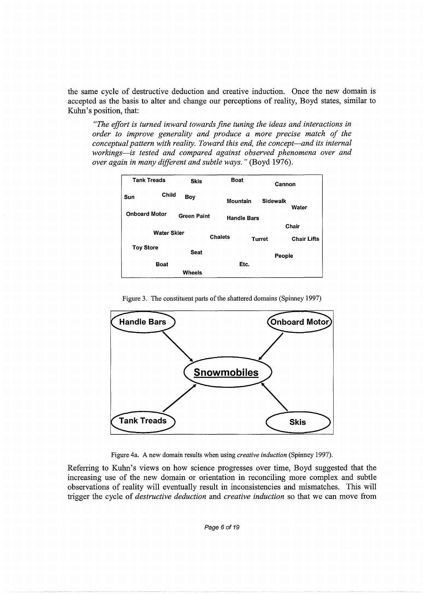the same cycle of destructive deduction and creative induction. Once the new domain is accepted as the basis to alter and change our perceptions of reality, Boyd states, similar to Kuhn's position, that:

*"The effort is turned inward towards fine tuning the ideas and interactions in order to improve generality and produce a more precise match of the conceptual pattern with reality. Toward this end, the concept-and its internal workings-is tested and compared against observed phenomena over and over again in many different and subtle ways."* (Boyd 1976).



Figure 3. The constituent parts of the shattered domains (Spinney 1997)



Figure 4a. A new domain results when using *creative induction* (Spinney 1997).

Referring to Kuhn's views on how science progresses over time, Boyd suggested that the increasing use of the new domain or orientation **in** reconciling more complex and subtle observations of reality will eventually result in inconsistencies and mismatches. This will trigger the cycle of *destructive deduction* and *creative induction* so that we can move from

Page 6 of 19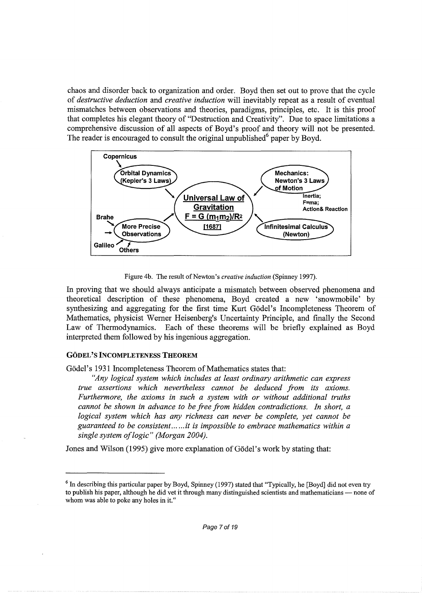chaos and disorder back to organization and order. Boyd then set out to prove that the cycle of *destructive deduction* and *creative induction* will inevitably repeat as a result of eventual mismatches between observations and theories, paradigms, principles, etc. It is this proof that completes his elegant theory of "Destruction and Creativity". Due to space limitations a comprehensive discussion of all aspects of Boyd's proof and theory will not be presented. The reader is encouraged to consult the original unpublished $<sup>6</sup>$  paper by Boyd.</sup>



Figure 4b. The result of Newton's *creative induction* (Spinney 1997).

In proving that we should always anticipate a mismatch between observed phenomena and theoretical description of these phenomena, Boyd created a new 'snowmobile' by synthesizing and aggregating for the first time Kurt Gödel's Incompleteness Theorem of Mathematics, physicist Werner Heisenberg's Uncertainty Principle, and finally the Second Law of Thermodynamics. Each of these theorems will be briefly explained as Boyd interpreted them followed by his ingenious aggregation.

## GODEL'S INCOMPLETENESS THEOREM

Gödel's 1931 Incompleteness Theorem of Mathematics states that:

*"Any logical system which includes at least ordinary arithmetic can express true assertions which nevertheless cannot be deduced from its axioms. Furthermore, the axioms in such a system with or without additional truths cannot be shown in advance to be free from hidden contradictions. In short, a logical system which has any richness can never be complete, yet cannot be guaranteed to be consistent ...* ... *it is impossible to embrace mathematics within a single system oflogic" (Morgan 2004).* 

Jones and Wilson (1995) give more explanation of Godel's work by stating that:

 $6$  In describing this particular paper by Boyd, Spinney (1997) stated that "Typically, he [Boyd] did not even try to publish his paper, although he did vet it through many distinguished scientists and mathematicians - none of whom was able to poke any holes in it."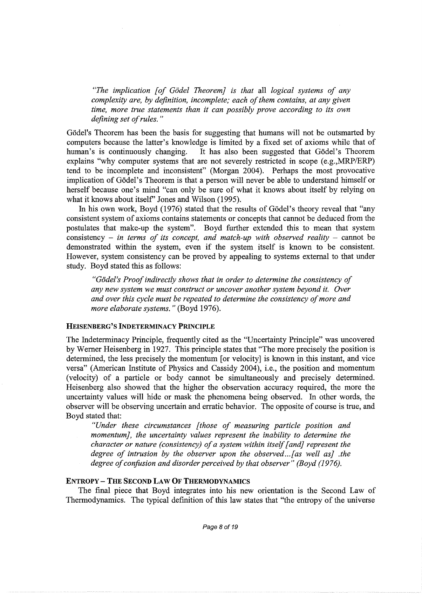*"The implication [of Godel Theorem] is that* all *logical systems of any complexity are, by definition, incomplete; each of them contains, at any given time, more true statements than it can possibly prove according to its own defining set of rules.* "

Gödel's Theorem has been the basis for suggesting that humans will not be outsmarted by computers because the latter's knowledge is limited by a fixed set of axioms while that of human's is continuously changing. It has also been suggested that Gödel's Theorem explains "why computer systems that are not severely restricted in scope (e.g., MRP/ERP) tend to be incomplete and inconsistent" (Morgan 2004). Perhaps the most provocative implication of Godel's Theorem is that a person will never be able to understand himself or herself because one's mind "can only be sure of what it knows about itself by relying on what it knows about itself' Jones and Wilson (1995).

In his own work, Boyd (1976) stated that the results of Gödel's theory reveal that "any consistent system of axioms contains statements or concepts that cannot be deduced from the postulates that make-up the system". Boyd further extended this to mean that system consistency  $-$  *in terms of its concept, and match-up with observed reality*  $-$  cannot be demonstrated within the system, even if the system itself is known to be consistent. However, system consistency can be proved by appealing to systems external to that under study. Boyd stated this as follows:

*"Godel's Proof indirectly shows that in order to determine the consistency of any new system we must construct or uncover another system beyond it. Over and over this cycle must be repeated to determine the consistency of more and more elaborate systems."* (Boyd 1976).

# HEISENBERG'S INDETERMINACY PRINCIPLE

The Indeterminacy Principle, frequently cited as the "Uncertainty Principle" was uncovered by Werner Heisenberg in 1927. This principle states that "The more precisely the position is determined, the less precisely the momentum [or velocity] is known in this instant, and vice versa" (American Institute of Physics and Cassidy 2004), i.e., the position and momentum (velocity) of a particle or body cannot be simultaneously and precisely determined. Heisenberg also showed that the higher the observation accuracy required, the more the uncertainty values will hide or mask the phenomena being observed. In other words, the observer will be observing uncertain and erratic behavior. The opposite of course is true, and Boyd stated that:

*"Under these circumstances [those of measuring particle position and momentum], the uncertainty values represent the inability to determine the character or nature (consistency) of a system within itself [and} represent the degree of intrusion by the observer upon the observed... [as well as] .the degree of confusion and disorder perceived by that observer" (Boyd (1976).* 

#### ENTROPY- THE SECOND LAW OF THERMODYNAMICS

The final piece that Boyd integrates into his new orientation is the Second Law of Thermodynamics. The typical definition of this law states that "the entropy of the universe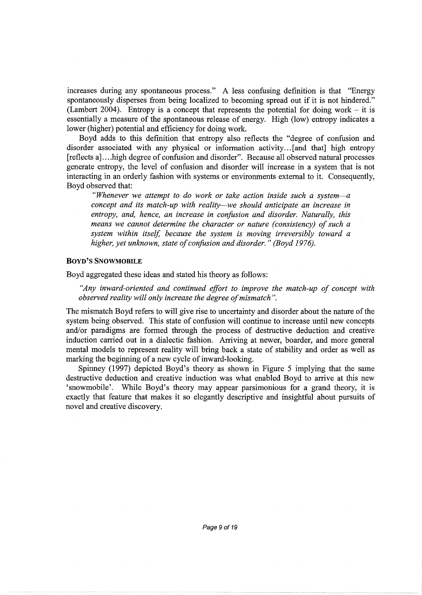increases during any spontaneous process." A less confusing definition is that "Energy spontaneously disperses from being localized to becoming spread out if it is not hindered." (Lambert 2004). Entropy is a concept that represents the potential for doing work  $-$  it is essentially a measure of the spontaneous release of energy. High (low) entropy indicates a lower (higher) potential and efficiency for doing work.

Boyd adds to this definition that entropy also reflects the "degree of confusion and disorder associated with any physical or information activity ... [and that] high entropy [reflects a] .... high degree of confusion and disorder". Because all observed natural processes generate entropy, the level of confusion and disorder will increase in a system that is not interacting in an orderly fashion with systems or environments external to it. Consequently, Boyd observed that:

*"Whenever we attempt to do work or take action inside such a system-a concept and its match-up with reality-we should anticipate an increase in entropy, and, hence, an increase in confusion and disorder. Naturally, this means we cannot determine the character or nature (consistency) of such a system within itself, because the system is moving irreversibly toward a higher, yet unknown, state of confusion and disorder." (Boyd 1976).* 

# BOYD'S SNOWMOBILE

Boyd aggregated these ideas and stated his theory as follows:

*"Any inward-oriented and continued effort to improve the match-up of concept with observed reality will only increase the degree of mismatch* ".

The mismatch Boyd refers to will give rise to uncertainty and disorder about the nature of the system being observed. This state of confusion will continue to increase until new concepts and/or paradigms are formed through the process of destructive deduction and creative induction carried out in a dialectic fashion. Arriving at newer, boarder, and more general mental models to represent reality will bring back a state of stability and order as well as marking the beginning of a new cycle of inward-looking.

Spinney (1997) depicted Boyd's theory as shown in Figure 5 implying that the same destructive deduction and creative induction was what enabled Boyd to arrive at this new 'snowmobile'. While Boyd's theory may appear parsimonious for a grand theory, it is exactly that feature that makes it so elegantly descriptive and insightful about pursuits of novel and creative discovery.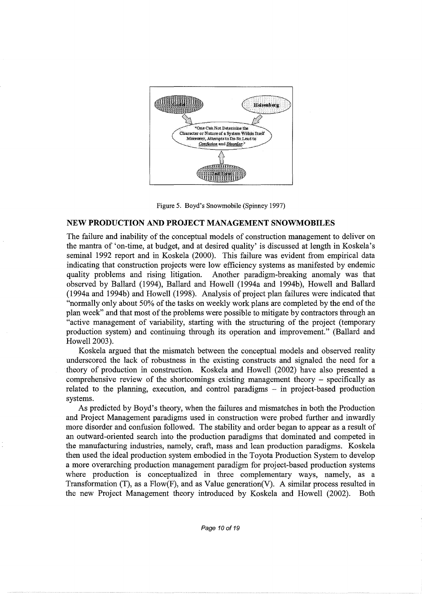



#### **NEW PRODUCTION AND PROJECT MANAGEMENT SNOWMOBILES**

The failure and inability of the conceptual models of construction management to deliver on the mantra of 'on-time, at budget, and at desired quality' is discussed at length in Koskela's seminal 1992 report and in Koskela (2000). This failure was evident from empirical data indicating that construction projects were low efficiency systems as manifested by endemic quality problems and rising litigation. Another paradigm-breaking anomaly was that observed by Ballard (1994), Ballard and Howell (1994a and 1994b), Howell and Ballard (1994a and 1994b) and Howell (1998). Analysis of project plan failures were indicated that "normally only about 50% of the tasks on weekly work plans are completed by the end of the plan week" and that most of the problems were possible to mitigate by contractors through an "active management of variability, starting with the structuring of the project (temporary production system) and continuing through its operation and improvement." (Ballard and Howell 2003).

Koskela argued that the mismatch between the conceptual models and observed reality underscored the lack of robustness in the existing constructs and signaled the need for a theory of production in construction. Koskela and Howell (2002) have also presented a comprehensive review of the shortcomings existing management theory - specifically as related to the planning, execution, and control paradigms - in project-based production systems.

As predicted by Boyd's theory, when the failures and mismatches in both the Production and Project Management paradigms used in construction were probed further and inwardly more disorder and confusion followed. The stability and order began to appear as a result of an outward-oriented search into the production paradigms that dominated and competed in the manufacturing industries, namely, craft, mass and lean production paradigms. Koskela then used the ideal production system embodied in the Toyota Production System to develop a more overarching production management paradigm for project-based production systems where production is conceptualized in three complementary ways, namely, as a Transformation  $(T)$ , as a Flow $(F)$ , and as Value generation $(V)$ . A similar process resulted in the new Project Management theory introduced by Koskela and Howell (2002). Both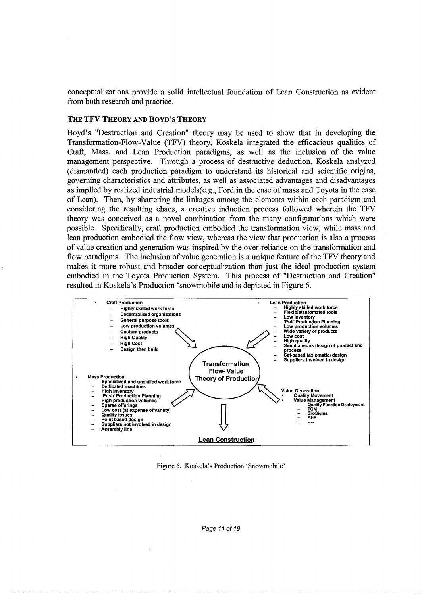conceptualizations provide a solid intellectual foundation of Lean Construction as evident from both research and practice.

#### THE TFV THEORY AND BOYD'S THEORY

Boyd's "Destruction and Creation" theory may be used to show that in developing the Transformation-Flow-Value (TFV) theory, Koskela integrated the efficacious qualities of Craft, Mass, and Lean Production paradigms, as well as the inclusion of the value management perspective. Through a process of destructive deduction, Koskela analyzed (dismantled) each production paradigm to understand its historical and scientific origins, governing characteristics and attributes, as well as associated advantages and disadvantages as implied by realized industrial models(e.g., Ford in the case of mass and Toyota in the case of Lean). Then, by shattering the linkages among the elements within each paradigm and considering the resulting chaos, a creative induction process followed wherein the TFV theory was conceived as a novel combination from the many configurations which were possible. Specifically, craft production embodied the transformation view, while mass and lean production embodied the flow view, whereas the view that production is also a process of value creation and generation was inspired by the over-reliance on the transformation and flow paradigms. The inclusion of value generation is a unique feature of the TFV theory and makes it more robust and broader conceptualization than just the ideal production system embodied in the Toyota Production System. This process of "Destruction and Creation" resulted in Koskela's Production 'snowmobile and is depicted in Figure 6.



Figure 6. Koskela's Production 'Snowmobile'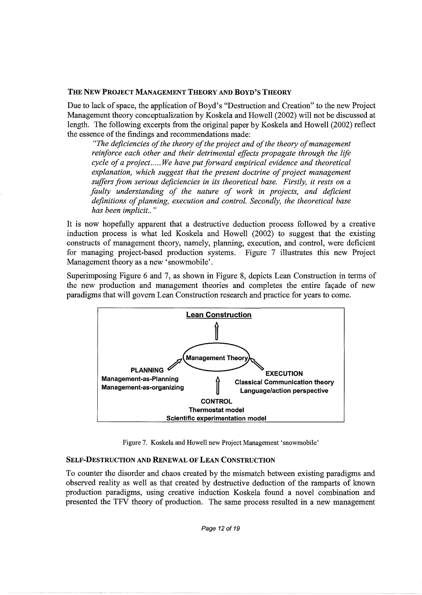### THE NEW PROJECT MANAGEMENT THEORY AND BOYD'S THEORY

Due to lack of space, the application of Boyd's "Destruction and Creation" to the new Project Management theory conceptualization by Koskela and Howell (2002) will not be discussed at length. The following excerpts from the original paper by Koskela and Howell (2002) reflect the essence of the findings and recommendations made:

*"The deficiencies of the theory of the project and of the theory of management reinforce each other and their detrimental effects propagate through the life cycle of a project ..... We have put forward empirical evidence and theoretical explanation, which suggest that the present doctrine of project management suffers from serious deficiencies in its theoretical base. Firstly, it rests on a*  faulty understanding of the nature of work in projects, and deficient *definitions of planning, execution and control. Secondly, the theoretical base has been implicit ..* "

It is now hopefully apparent that a destructive deduction process followed by a creative induction process is what led Koskela and Howell (2002) to suggest that the existing constructs of management theory, namely, planning, execution, and control, were deficient for managing project-based production systems. Figure 7 illustrates this new Project Management theory as a new 'snowmobile'.

Superimposing Figure 6 and 7, as shown in Figure 8, depicts Lean Construction in terms of the new production and management theories and completes the entire façade of new paradigms that will govern Lean Construction research and practice for years to come.



Figure 7. Koskela and Howell new Project Management 'snowmobile'

## SELF-DESTRUCTION AND RENEWAL OF LEAN CONSTRUCTION

To counter the disorder and chaos created by the mismatch between existing paradigms and observed reality as well as that created by destructive deduction of the ramparts of known production paradigms, using creative induction Koskela found a novel combination and presented the TFV theory of production. The same process resulted in a new management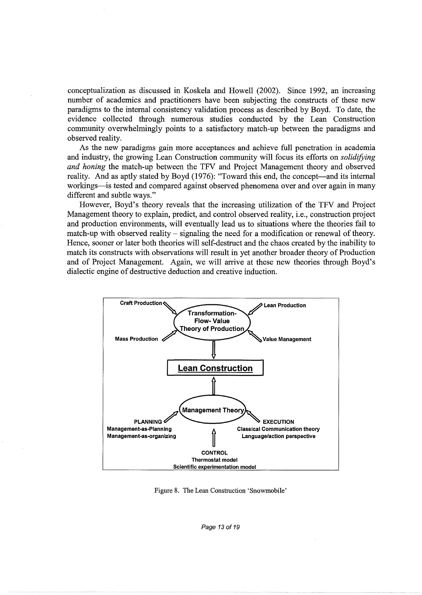conceptualization as discussed in Koskela and Howell (2002). Since 1992, an increasing number of academics and practitioners have been subjecting the constructs of these new paradigms to the internal consistency validation process as described by Boyd. To date, the evidence collected through numerous studies conducted by the Lean Construction community overwhelmingly points to a satisfactory match-up between the paradigms and observed reality.

As the new paradigms gain more acceptances and achieve full penetration in academia and industry, the growing Lean Construction community will focus its efforts on *solidifying and honing* the match-up between the TFV and Project Management theory and observed reality. And as aptly stated by Boyd (1976): "Toward this end, the concept—and its internal workings—is tested and compared against observed phenomena over and over again in many different and subtle ways."

However, Boyd's theory reveals that the increasing utilization of the TFV and Project Management theory to explain, predict, and control observed reality, i.e., construction project and production environments, will eventually lead us to situations where the theories fail to match-up with observed reality – signaling the need for a modification or renewal of theory. Hence, sooner or later both theories will self-destruct and the chaos created by the inability to match its constructs with observations will result in yet another broader theory of Production and of Project Management. Again, we will arrive at these new theories through Boyd's dialectic engine of destructive deduction and creative induction.



Figure 8. The Lean Construction 'Snowmobile'

Page 13 of 19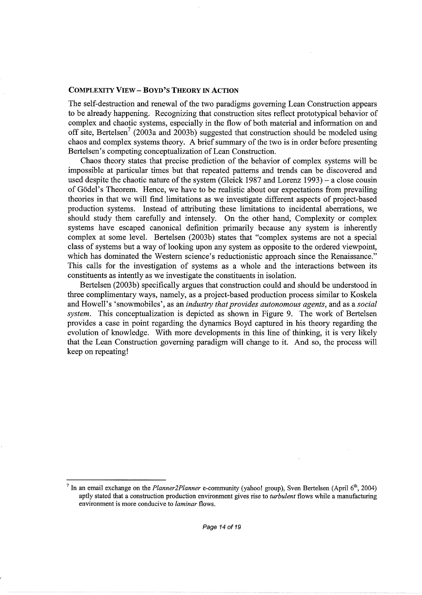#### **COMPLEXITY VIEW- BOYD'S THEORY IN ACTION**

The self-destruction and renewal of the two paradigms governing Lean Construction appears to be already happening. Recognizing that construction sites reflect prototypical behavior of complex and chaotic systems, especially in the flow of both material and information on and off site, Bertelsen<sup>7</sup> (2003a and 2003b) suggested that construction should be modeled using chaos and complex systems theory. A brief summary of the two is in order before presenting Bertelsen's competing conceptualization of Lean Construction.

Chaos theory states that precise prediction of the behavior of complex systems will be impossible at particular times but that repeated patterns and trends can be discovered and used despite the chaotic nature of the system (Gleick 1987 and Lorenz 1993)- a close cousin of Godel' s Theorem. Hence, we have to be realistic about our expectations from prevailing theories in that we will find limitations as we investigate different aspects of project-based production systems. Instead of attributing these limitations to incidental aberrations, we should study them carefully and intensely. On the other hand, Complexity or complex systems have escaped canonical definition primarily because any system is inherently complex at some level. Bertelsen (2003b) states that "complex systems are not a special class of systems but a way of looking upon any system as opposite to the ordered viewpoint, which has dominated the Western science's reductionistic approach since the Renaissance." This calls for the investigation of systems as a whole and the interactions between its constituents as intently as we investigate the constituents in isolation.

Bertelsen (2003b) specifically argues that construction could and should be understood in three complimentary ways, namely, as a project-based production process similar to Koskela and Howell's 'snowmobiles', as an *industry that provides autonomous agents,* and as a *social system.* This conceptualization is depicted as shown in Figure 9. The work of Bertelsen provides a case in point regarding the dynamics Boyd captured in his theory regarding the evolution of knowledge. With more developments in this line of thinking, it is very likely that the Lean Construction governing paradigm will change to it. And so, the process will keep on repeating!

<sup>&</sup>lt;sup>7</sup> In an email exchange on the *Planner2Planner* e-community (yahoo! group), Sven Bertelsen (April 6<sup>th</sup>, 2004) aptly stated that a construction production environment gives rise to *turbulent* flows while a manufacturing environment is more conducive to *laminar* flows.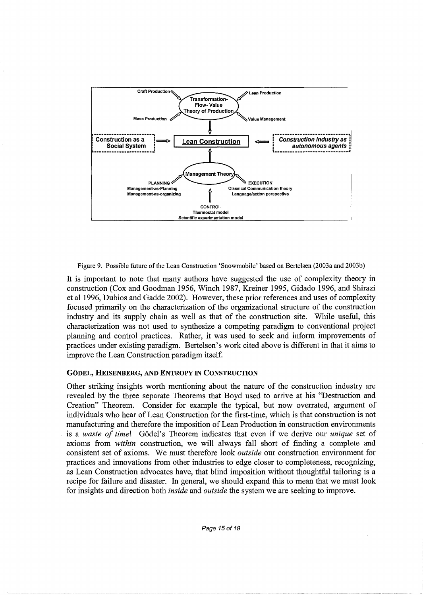

Figure 9. Possible future of the Lean Construction 'Snowmobile' based on Bertelsen (2003a and 2003b)

It is important to note that many authors have suggested the use of complexity theory in construction (Cox and Goodman 1956, Winch 1987, Kreiner 1995, Gidado 1996, and Shirazi et al 1996, Dubios and Gadde 2002). However, these prior references and uses of complexity focused primarily on the characterization of the organizational structure of the construction industry and its supply chain as well as that of the construction site. While useful, this characterization was not used to synthesize a competing paradigm to conventional project planning and control practices. Rather, it was used to seek and inform improvements of practices under existing paradigm. Bertelsen's work cited above is different in that it aims to improve the Lean Construction paradigm itself.

## GODEL, HEISENBERG, AND ENTROPY IN CONSTRUCTION

Other striking insights worth mentioning about the nature of the construction industry are revealed by the three separate Theorems that Boyd used to arrive at his "Destruction and Creation" Theorem. Consider for example the typical, but now overrated, argument of individuals who hear of Lean Construction for the first-time, which is that construction is not manufacturing and therefore the imposition of Lean Production in construction environments is a *waste of time!* Godel's Theorem indicates that even if we derive our *unique* set of axioms from *within* construction, we will always fall short of finding a complete and consistent set of axioms. We must therefore look *outside* our construction environment for practices and innovations from other industries to edge closer to completeness, recognizing, as Lean Construction advocates have, that blind imposition without thoughtful tailoring is a recipe for failure and disaster. In general, we should expand this to mean that we must look for insights and direction both *inside* and *outside* the system we are seeking to improve.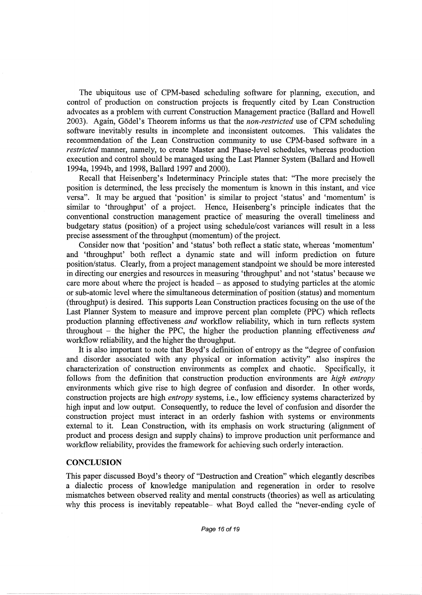The ubiquitous use of CPM-based scheduling software for planning, execution, and control of production on construction projects is frequently cited by Lean Construction advocates as a problem with current Construction Management practice (Ballard and Howell 2003). Again, Godel's Theorem informs us that the *non-restricted* use of CPM scheduling software inevitably results in incomplete and inconsistent outcomes. This validates the recommendation of the Lean Construction community to use CPM-based software in a *restricted* manner, namely, to create Master and Phase-level schedules, whereas production execution and control should be managed using the Last Planner System (Ballard and Howell 1994a, 1994b, and 1998, Ballard 1997 and 2000).

Recall that Heisenberg's Indeterminacy Principle states that: "The more precisely the position is determined, the less precisely the momentum is known in this instant, and vice versa". It may be argued that 'position' is similar to project 'status' and 'momentum' is similar to 'throughput' of a project. Hence, Heisenberg's principle indicates that the conventional construction management practice of measuring the overall timeliness and budgetary status (position) of a project using schedule/cost variances will result in a less precise assessment of the throughput (momentum) of the project.

Consider now that 'position' and 'status' both reflect a static state, whereas 'momentum' and 'throughput' both reflect a dynamic state and will inform prediction on future position/status. Clearly, from a project management standpoint we should be more interested in directing our energies and resources in measuring 'throughput' and not 'status' because we care more about where the project is headed  $-$  as apposed to studying particles at the atomic or sub-atomic level where the simultaneous determination of position (status) and momentum (throughput) is desired. This supports Lean Construction practices focusing on the use of the Last Planner System to measure and improve percent plan complete (PPC) which reflects production planning effectiveness *and* workflow reliability, which in turn reflects system throughout - the higher the PPC, the higher the production planning effectiveness *and*  workflow reliability, and the higher the throughput.

It is also important to note that Boyd's definition of entropy as the "degree of confusion and disorder associated with any physical or information activity" also inspires the characterization of construction environments as complex and chaotic. Specifically, it follows from the definition that construction production environments are *high entropy*  environments which give rise to high degree of confusion and disorder. In other words, construction projects are high *entropy* systems, i.e., low efficiency systems characterized by high input and low output. Consequently, to reduce the level of confusion and disorder the construction project must interact in an orderly fashion with systems or environments external to it. Lean Construction, with its emphasis on work structuring (alignment of product and process design and supply chains) to improve production unit performance and workflow reliability, provides the framework for achieving such orderly interaction.

#### **CONCLUSION**

This paper discussed Boyd's theory of "Destruction and Creation" which elegantly describes a dialectic process of knowledge manipulation and regeneration in order to resolve mismatches between observed reality and mental constructs (theories) as well as articulating why this process is inevitably repeatable- what Boyd called the "never-ending cycle of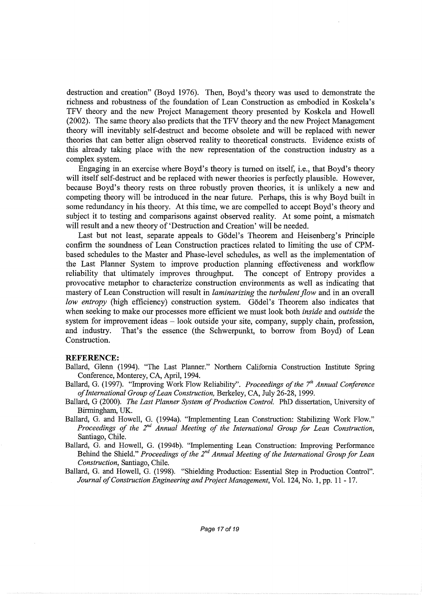destruction and creation" (Boyd 1976). Then, Boyd's theory was used to demonstrate the richness and robustness of the foundation of Lean Construction as embodied in Koskela's TFV theory and the new Project Management theory presented by Koskela and Howell (2002). The same theory also predicts that the TFV theory and the new Project Management theory will inevitably self-destruct and become obsolete and will be replaced with newer theories that can better align observed reality to theoretical constructs. Evidence exists of this already taking place with the new representation of the construction industry as a complex system.

Engaging in an exercise where Boyd's theory is turned on itself, i.e., that Boyd's theory will itself self-destruct and be replaced with newer theories is perfectly plausible. However, because Boyd's theory rests on three robustly proven theories, it is unlikely a new and competing theory will be introduced in the near future. Perhaps, this is why Boyd built in some redundancy in his theory. At this time, we are compelled to accept Boyd's theory and subject it to testing and comparisons against observed reality. At some point, a mismatch will result and a new theory of 'Destruction and Creation' will be needed.

Last but not least, separate appeals to Gödel's Theorem and Heisenberg's Principle confirm the soundness of Lean Construction practices related to limiting the use of CPMbased schedules to the Master and Phase-level schedules, as well as the implementation of the Last Planner System to improve production planning effectiveness and workflow reliability that ultimately improves throughput. The concept of Entropy provides a provocative metaphor to characterize construction environments as well as indicating that mastery of Lean Construction will result in *laminarizing* the *turbulent flow* and in an overall *low entropy* (high efficiency) construction system. Gödel's Theorem also indicates that when seeking to make our processes more efficient we must look both *inside* and *outside* the system for improvement ideas  $-$  look outside your site, company, supply chain, profession, and industry. That's the essence (the Schwerpunkt, to borrow from Boyd) of Lean Construction.

#### **REFERENCE:**

- Ballard, Glenn (1994). "The Last Planner." Northern California Construction fustitute Spring Conference, Monterey, CA, April, 1994.
- Ballard, G. (1997). "Improving Work Flow Reliability". *Proceedings of the 7<sup>th</sup> Annual Conference of International Group of Lean Construction,* Berkeley, CA, July 26-28, 1999.
- Ballard, G (2000). *The Last Planner System of Production Control.* PhD dissertation, University of Birmingham, UK.
- Ballard, G. and Howell, G. (1994a). "Implementing Lean Construction: Stabilizing Work Flow." *Proceedings of the 2nd Annual Meeting of the International Group for Lean Construction,*  Santiago, Chile.
- Ballard, G. and Howell, G. (1994b). "Implementing Lean Construction: Improving Performance Behind the Shield." *Proceedings of the 2nd Annual Meeting of the International Group for Lean Construction,* Santiago, Chile.
- Ballard, G. and Howell, G. (1998). "Shielding Production: Essential Step in Production Control". *Journal of Construction Engineering and Project Management,* Vol. 124, No. 1, pp. 11 - 17.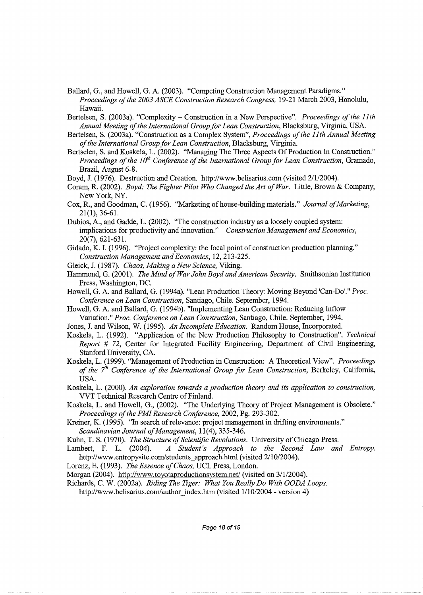- Ballard, G., and Howell, G. A. (2003). "Competing Construction Management Paradigms." *Proceedings of the 2003 ASCE Construction Research Congress,* 19-21 March 2003, Honolulu, Hawaii.
- Bertelsen, S. (2003a). "Complexity- Construction in a New Perspective". *Proceedings of the 11th Annual Meeting of the International Group for Lean Construction,* Blacksburg, Virginia, USA.
- Bertelsen, S. (2003a). "Construction as a Complex System", *Proceedings of the 11th Annual Meeting of the International Group for Lean Construction,* Blacksburg, Virginia.
- Bertselen, S. and Koskela, L. (2002). "Managing The Three Aspects Of Production In Construction." *Proceedings of the 10<sup>th</sup> Conference of the International Group for Lean Construction, Gramado,* Brazil, August 6-8.
- Boyd, J. (1976). Destruction and Creation. http://www.belisarius.com (visited 2/1/2004).
- Coram, R. (2002). *Boyd: The Fighter Pilot Who Changed the Art of War.* Little, Brown & Company, New York, NY.
- Cox, R., and Goodman, C. (1956). "Marketing of house-building materials." *Journal of Marketing,*  21(1), 36-61.
- Dubios, A., and Gadde, L. (2002). "The construction industry as a loosely coupled system: implications for productivity and innovation." *Construction Management and Economics,*  20(7), 621-631.
- Gidado, K. I. (1996). "Project complexity: the focal point of construction production planning." *Construction Management and Economics,* 12, 213-225.
- Gleick, J. (1987). *Chaos, Making a New Science,* Viking.
- Hammond, G. (2001). *The Mind of War John Boyd and American Security.* Smithsonian fustitution Press, Washington, DC.
- Howell, G. A. and Ballard, G. (1994a). "Lean Production Theory: Moving Beyond 'Can-Do'." *Proc. Conference on Lean Construction,* Santiago, Chile. September, 1994.
- Howell, G. A. and Ballard, G. (1994b). "Implementing Lean Construction: Reducing Inflow Variation." *Proc. Conference on Lean Construction,* Santiago, Chile. September, 1994.
- Jones, J. and Wilson, W. (1995). *An Incomplete Education.* Random House, fucorporated.

Koskela, L. (1992). "Application of the New Production Philosophy to Construction". *Technical Report # 72, Center for Integrated Facility Engineering, Department of Civil Engineering,* Stanford University, CA.

Koskela, L. (1999). "Management of Production in Construction: A Theoretical View". *Proceedings of the 7<sup>th</sup> Conference of the International Group for Lean Construction, Berkeley, California,* USA.

Koskela, L. (2000). *An exploration towards a production theory and its application to construction,*  VVT Technical Research Centre of Finland.

- Koskela, L. and Howell, G., (2002). "The Underlying Theory of Project Management is Obsolete." *Proceedings of the PM! Research Conference,* 2002, Pg. 293-302.
- Kreiner, K. (1995). "In search of relevance: project management in drifting environments." *Scandinavian Journal of Management,* 11(4), 335-346.

Kuhn, T. S. (1970). *The Structure of Scientific Revolutions.* University of Chicago Press.

- Lambert, F. L. (2004). *A Student's Approach to the Second Law and Entropy.*  http://www.entropysite.com/students approach.html (visited 2/10/2004).
- Lorenz, E. (1993). *The Essence of Chaos,* UCL Press, London.

Morgan (2004). http://www.toyotaproductionsystem.net/ (visited on 3/1/2004).

Richards, C. W. (2002a). *Riding The Tiger: What You Really Do With OODA Loops.* 

http://www.belisarius.com/author\_index.htm (visited 1/10/2004 - version 4)